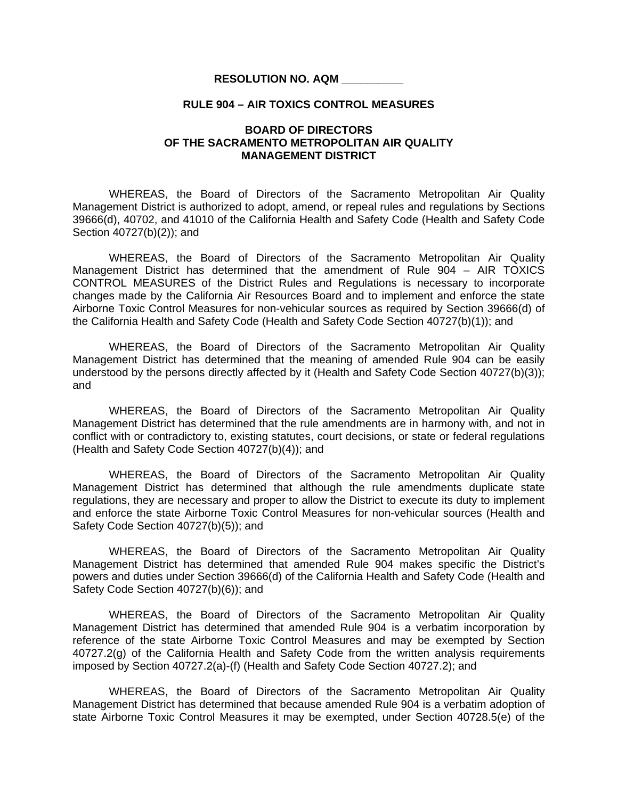## **RESOLUTION NO. AQM \_\_\_\_\_\_\_\_\_\_**

## **RULE 904 – AIR TOXICS CONTROL MEASURES**

## **BOARD OF DIRECTORS OF THE SACRAMENTO METROPOLITAN AIR QUALITY MANAGEMENT DISTRICT**

WHEREAS, the Board of Directors of the Sacramento Metropolitan Air Quality Management District is authorized to adopt, amend, or repeal rules and regulations by Sections 39666(d), 40702, and 41010 of the California Health and Safety Code (Health and Safety Code Section 40727(b)(2)); and

 WHEREAS, the Board of Directors of the Sacramento Metropolitan Air Quality Management District has determined that the amendment of Rule 904 – AIR TOXICS CONTROL MEASURES of the District Rules and Regulations is necessary to incorporate changes made by the California Air Resources Board and to implement and enforce the state Airborne Toxic Control Measures for non-vehicular sources as required by Section 39666(d) of the California Health and Safety Code (Health and Safety Code Section 40727(b)(1)); and

 WHEREAS, the Board of Directors of the Sacramento Metropolitan Air Quality Management District has determined that the meaning of amended Rule 904 can be easily understood by the persons directly affected by it (Health and Safety Code Section 40727(b)(3)); and

 WHEREAS, the Board of Directors of the Sacramento Metropolitan Air Quality Management District has determined that the rule amendments are in harmony with, and not in conflict with or contradictory to, existing statutes, court decisions, or state or federal regulations (Health and Safety Code Section 40727(b)(4)); and

 WHEREAS, the Board of Directors of the Sacramento Metropolitan Air Quality Management District has determined that although the rule amendments duplicate state regulations, they are necessary and proper to allow the District to execute its duty to implement and enforce the state Airborne Toxic Control Measures for non-vehicular sources (Health and Safety Code Section 40727(b)(5)); and

WHEREAS, the Board of Directors of the Sacramento Metropolitan Air Quality Management District has determined that amended Rule 904 makes specific the District's powers and duties under Section 39666(d) of the California Health and Safety Code (Health and Safety Code Section 40727(b)(6)); and

WHEREAS, the Board of Directors of the Sacramento Metropolitan Air Quality Management District has determined that amended Rule 904 is a verbatim incorporation by reference of the state Airborne Toxic Control Measures and may be exempted by Section 40727.2(g) of the California Health and Safety Code from the written analysis requirements imposed by Section 40727.2(a)-(f) (Health and Safety Code Section 40727.2); and

WHEREAS, the Board of Directors of the Sacramento Metropolitan Air Quality Management District has determined that because amended Rule 904 is a verbatim adoption of state Airborne Toxic Control Measures it may be exempted, under Section 40728.5(e) of the